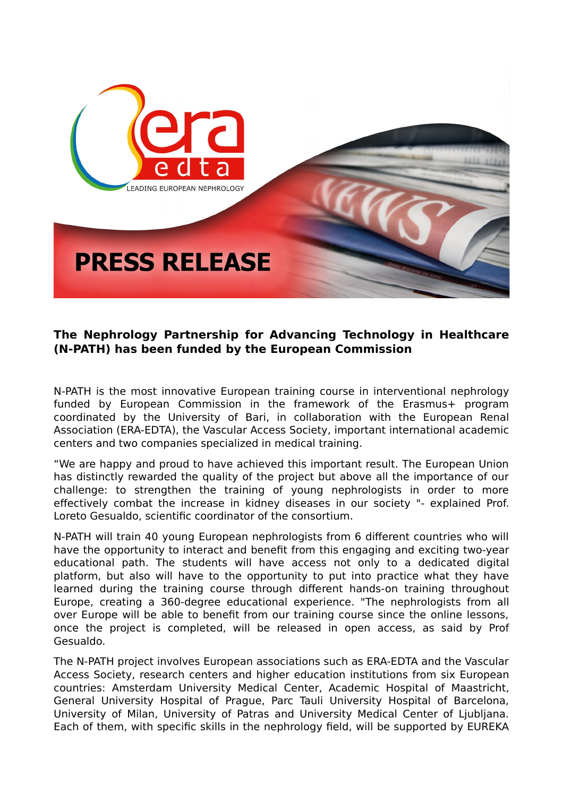

## **The Nephrology Partnership for Advancing Technology in Healthcare (N-PATH) has been funded by the European Commission**

N-PATH is the most innovative European training course in interventional nephrology funded by European Commission in the framework of the Erasmus+ program coordinated by the University of Bari, in collaboration with the European Renal Association (ERA-EDTA), the Vascular Access Society, important international academic centers and two companies specialized in medical training.

"We are happy and proud to have achieved this important result. The European Union has distinctly rewarded the quality of the project but above all the importance of our challenge: to strengthen the training of young nephrologists in order to more effectively combat the increase in kidney diseases in our society "- explained Prof. Loreto Gesualdo, scientific coordinator of the consortium.

N-PATH will train 40 young European nephrologists from 6 different countries who will have the opportunity to interact and benefit from this engaging and exciting two-year educational path. The students will have access not only to a dedicated digital platform, but also will have to the opportunity to put into practice what they have learned during the training course through different hands-on training throughout Europe, creating a 360-degree educational experience. "The nephrologists from all over Europe will be able to benefit from our training course since the online lessons, once the project is completed, will be released in open access, as said by Prof Gesualdo.

The N-PATH project involves European associations such as ERA-EDTA and the Vascular Access Society, research centers and higher education institutions from six European countries: Amsterdam University Medical Center, Academic Hospital of Maastricht, General University Hospital of Prague, Parc Tauli University Hospital of Barcelona, University of Milan, University of Patras and University Medical Center of Ljubljana. Each of them, with specific skills in the nephrology field, will be supported by EUREKA